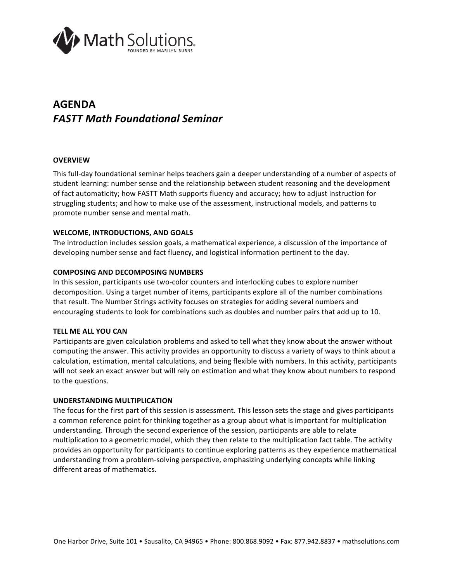

# **AGENDA** *FASTT Math Foundational Seminar*

## **OVERVIEW**

This full-day foundational seminar helps teachers gain a deeper understanding of a number of aspects of student learning: number sense and the relationship between student reasoning and the development of fact automaticity; how FASTT Math supports fluency and accuracy; how to adjust instruction for struggling students; and how to make use of the assessment, instructional models, and patterns to promote number sense and mental math.

## **WELCOME, INTRODUCTIONS, AND GOALS**

The introduction includes session goals, a mathematical experience, a discussion of the importance of developing number sense and fact fluency, and logistical information pertinent to the day.

## **COMPOSING AND DECOMPOSING NUMBERS**

In this session, participants use two-color counters and interlocking cubes to explore number decomposition. Using a target number of items, participants explore all of the number combinations that result. The Number Strings activity focuses on strategies for adding several numbers and encouraging students to look for combinations such as doubles and number pairs that add up to 10.

#### **TELL ME ALL YOU CAN**

Participants are given calculation problems and asked to tell what they know about the answer without computing the answer. This activity provides an opportunity to discuss a variety of ways to think about a calculation, estimation, mental calculations, and being flexible with numbers. In this activity, participants will not seek an exact answer but will rely on estimation and what they know about numbers to respond to the questions.

#### **UNDERSTANDING MULTIPLICATION**

The focus for the first part of this session is assessment. This lesson sets the stage and gives participants a common reference point for thinking together as a group about what is important for multiplication understanding. Through the second experience of the session, participants are able to relate multiplication to a geometric model, which they then relate to the multiplication fact table. The activity provides an opportunity for participants to continue exploring patterns as they experience mathematical understanding from a problem-solving perspective, emphasizing underlying concepts while linking different areas of mathematics.